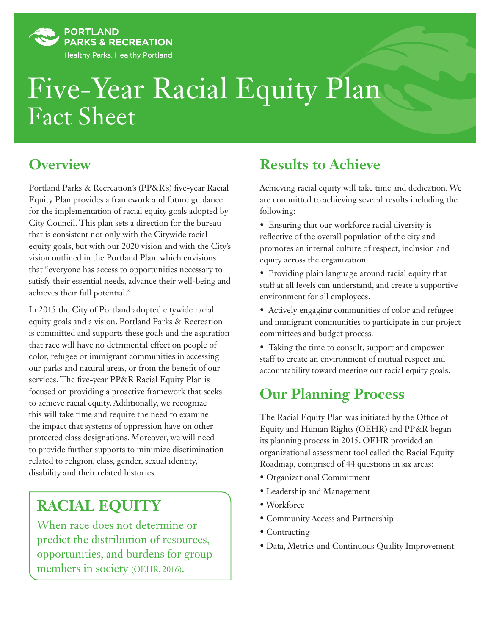

# Fact Sheet Five-Year Racial Equity Plan

#### **Overview**

Portland Parks & Recreation's (PP&R's) five-year Racial Equity Plan provides a framework and future guidance for the implementation of racial equity goals adopted by City Council. This plan sets a direction for the bureau that is consistent not only with the Citywide racial equity goals, but with our 2020 vision and with the City's vision outlined in the Portland Plan, which envisions that "everyone has access to opportunities necessary to satisfy their essential needs, advance their well-being and achieves their full potential."

In 2015 the City of Portland adopted citywide racial equity goals and a vision. Portland Parks & Recreation is committed and supports these goals and the aspiration that race will have no detrimental effect on people of color, refugee or immigrant communities in accessing our parks and natural areas, or from the benefit of our services. The five-year PP&R Racial Equity Plan is focused on providing a proactive framework that seeks to achieve racial equity. Additionally, we recognize this will take time and require the need to examine the impact that systems of oppression have on other protected class designations. Moreover, we will need to provide further supports to minimize discrimination related to religion, class, gender, sexual identity, disability and their related histories.

## **RACIAL EQUITY**

When race does not determine or predict the distribution of resources, opportunities, and burdens for group members in society (OEHR, 2016).

### **Results to Achieve**

Achieving racial equity will take time and dedication. We are committed to achieving several results including the following:

- Ensuring that our workforce racial diversity is reflective of the overall population of the city and promotes an internal culture of respect, inclusion and equity across the organization.
- Providing plain language around racial equity that staff at all levels can understand, and create a supportive environment for all employees.
- Actively engaging communities of color and refugee and immigrant communities to participate in our project committees and budget process.
- Taking the time to consult, support and empower staff to create an environment of mutual respect and accountability toward meeting our racial equity goals.

## **Our Planning Process**

The Racial Equity Plan was initiated by the Office of Equity and Human Rights (OEHR) and PP&R began its planning process in 2015. OEHR provided an organizational assessment tool called the Racial Equity Roadmap, comprised of 44 questions in six areas:

- Organizational Commitment
- Leadership and Management
- Workforce
- Community Access and Partnership
- Contracting
- Data, Metrics and Continuous Quality Improvement